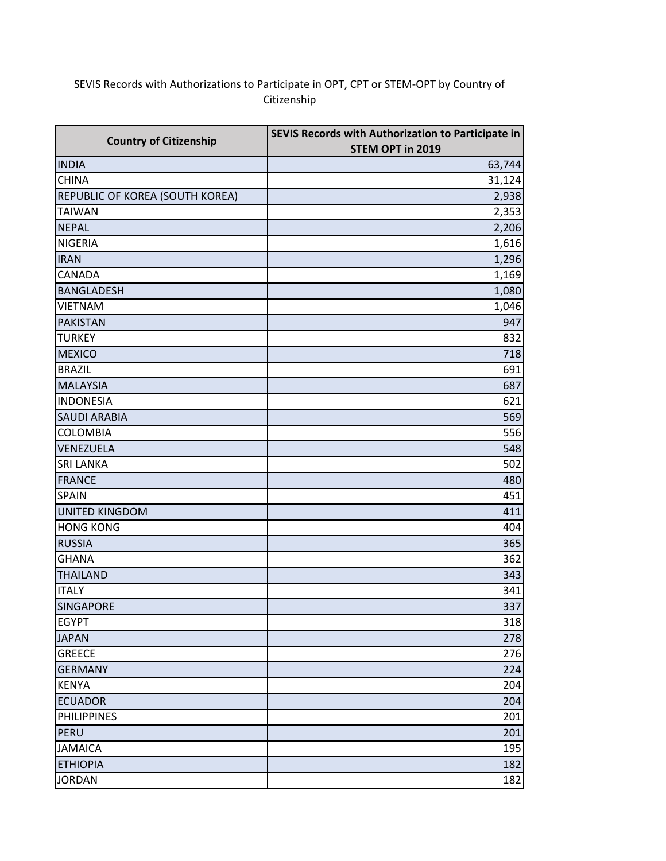## SEVIS Records with Authorizations to Participate in OPT, CPT or STEM-OPT by Country of Citizenship

| <b>Country of Citizenship</b>   | SEVIS Records with Authorization to Participate in |  |
|---------------------------------|----------------------------------------------------|--|
|                                 | STEM OPT in 2019                                   |  |
| <b>INDIA</b>                    | 63,744                                             |  |
| <b>CHINA</b>                    | 31,124                                             |  |
| REPUBLIC OF KOREA (SOUTH KOREA) | 2,938                                              |  |
| <b>TAIWAN</b>                   | 2,353                                              |  |
| <b>NEPAL</b>                    | 2,206                                              |  |
| <b>NIGERIA</b>                  | 1,616                                              |  |
| <b>IRAN</b>                     | 1,296                                              |  |
| <b>CANADA</b>                   | 1,169                                              |  |
| <b>BANGLADESH</b>               | 1,080                                              |  |
| <b>VIETNAM</b>                  | 1,046                                              |  |
| <b>PAKISTAN</b>                 | 947                                                |  |
| <b>TURKEY</b>                   | 832                                                |  |
| <b>MEXICO</b>                   | 718                                                |  |
| <b>BRAZIL</b>                   | 691                                                |  |
| <b>MALAYSIA</b>                 | 687                                                |  |
| <b>INDONESIA</b>                | 621                                                |  |
| <b>SAUDI ARABIA</b>             | 569                                                |  |
| <b>COLOMBIA</b>                 | 556                                                |  |
| VENEZUELA                       | 548                                                |  |
| <b>SRI LANKA</b>                | 502                                                |  |
| <b>FRANCE</b>                   | 480                                                |  |
| <b>SPAIN</b>                    | 451                                                |  |
| <b>UNITED KINGDOM</b>           | 411                                                |  |
| <b>HONG KONG</b>                | 404                                                |  |
| <b>RUSSIA</b>                   | 365                                                |  |
| <b>GHANA</b>                    | 362                                                |  |
| <b>THAILAND</b>                 | 343                                                |  |
| <b>ITALY</b>                    | 341                                                |  |
| <b>SINGAPORE</b>                | 337                                                |  |
| <b>EGYPT</b>                    | 318                                                |  |
| <b>JAPAN</b>                    | 278                                                |  |
| <b>GREECE</b>                   | 276                                                |  |
| <b>GERMANY</b>                  | 224                                                |  |
| <b>KENYA</b>                    | 204                                                |  |
| <b>ECUADOR</b>                  | 204                                                |  |
| <b>PHILIPPINES</b>              | 201                                                |  |
| PERU                            | 201                                                |  |
| <b>JAMAICA</b>                  | 195                                                |  |
| <b>ETHIOPIA</b>                 | 182                                                |  |
| <b>JORDAN</b>                   | 182                                                |  |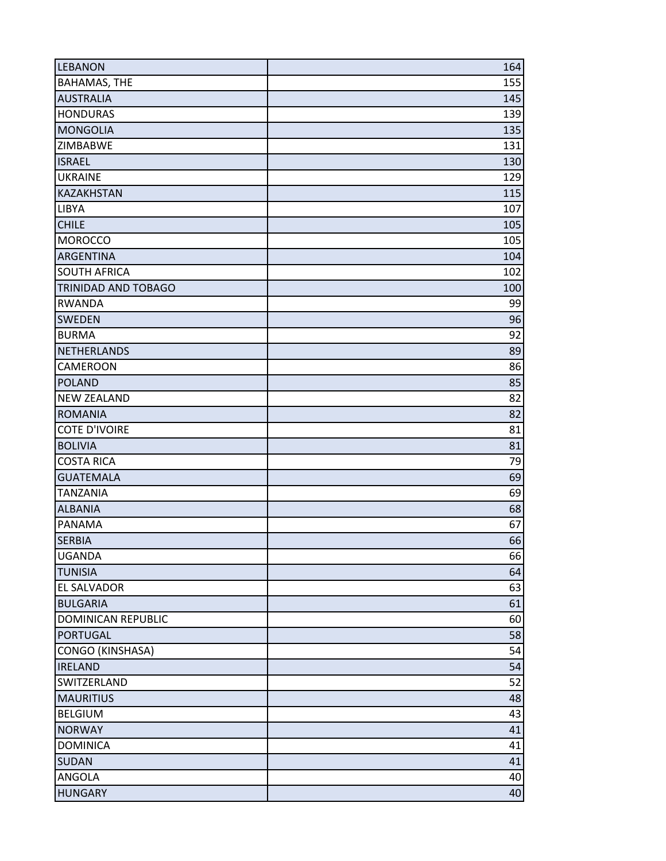| <b>LEBANON</b>       | 164 |
|----------------------|-----|
| <b>BAHAMAS, THE</b>  | 155 |
| <b>AUSTRALIA</b>     | 145 |
| <b>HONDURAS</b>      | 139 |
| <b>MONGOLIA</b>      | 135 |
| ZIMBABWE             | 131 |
| <b>ISRAEL</b>        | 130 |
| <b>UKRAINE</b>       | 129 |
| KAZAKHSTAN           | 115 |
| LIBYA                | 107 |
| <b>CHILE</b>         | 105 |
| <b>MOROCCO</b>       | 105 |
| ARGENTINA            | 104 |
| <b>SOUTH AFRICA</b>  | 102 |
| TRINIDAD AND TOBAGO  | 100 |
| <b>RWANDA</b>        | 99  |
| <b>SWEDEN</b>        | 96  |
| <b>BURMA</b>         | 92  |
| <b>NETHERLANDS</b>   | 89  |
| CAMEROON             | 86  |
| <b>POLAND</b>        | 85  |
| <b>NEW ZEALAND</b>   | 82  |
| <b>ROMANIA</b>       | 82  |
| <b>COTE D'IVOIRE</b> | 81  |
| <b>BOLIVIA</b>       | 81  |
| <b>COSTA RICA</b>    | 79  |
| <b>GUATEMALA</b>     | 69  |
| <b>TANZANIA</b>      | 69  |
| <b>ALBANIA</b>       | 68  |
| <b>PANAMA</b>        | 67  |
| <b>SERBIA</b>        | 66  |
| <b>UGANDA</b>        | 66  |
| <b>TUNISIA</b>       | 64  |
| EL SALVADOR          | 63  |
| <b>BULGARIA</b>      | 61  |
| DOMINICAN REPUBLIC   | 60  |
| <b>PORTUGAL</b>      | 58  |
| CONGO (KINSHASA)     | 54  |
| <b>IRELAND</b>       | 54  |
| SWITZERLAND          | 52  |
| <b>MAURITIUS</b>     | 48  |
| <b>BELGIUM</b>       | 43  |
| <b>NORWAY</b>        | 41  |
| <b>DOMINICA</b>      | 41  |
| <b>SUDAN</b>         | 41  |
| ANGOLA               | 40  |
| <b>HUNGARY</b>       | 40  |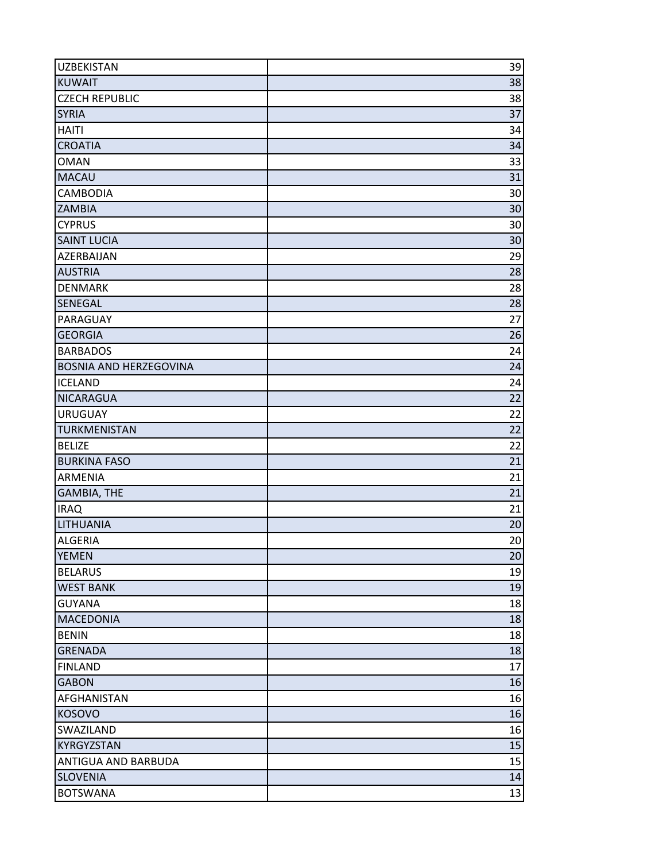| <b>UZBEKISTAN</b>             | 39 |
|-------------------------------|----|
| <b>KUWAIT</b>                 | 38 |
| <b>CZECH REPUBLIC</b>         | 38 |
| <b>SYRIA</b>                  | 37 |
| <b>HAITI</b>                  | 34 |
| <b>CROATIA</b>                | 34 |
| <b>OMAN</b>                   | 33 |
| <b>MACAU</b>                  | 31 |
| <b>CAMBODIA</b>               | 30 |
| <b>ZAMBIA</b>                 | 30 |
| <b>CYPRUS</b>                 | 30 |
| <b>SAINT LUCIA</b>            | 30 |
| AZERBAIJAN                    | 29 |
| <b>AUSTRIA</b>                | 28 |
| <b>DENMARK</b>                | 28 |
| SENEGAL                       | 28 |
| PARAGUAY                      | 27 |
| <b>GEORGIA</b>                | 26 |
| <b>BARBADOS</b>               | 24 |
| <b>BOSNIA AND HERZEGOVINA</b> | 24 |
| <b>ICELAND</b>                | 24 |
| <b>NICARAGUA</b>              | 22 |
| <b>URUGUAY</b>                | 22 |
| <b>TURKMENISTAN</b>           | 22 |
| <b>BELIZE</b>                 | 22 |
| <b>BURKINA FASO</b>           | 21 |
| <b>ARMENIA</b>                | 21 |
| <b>GAMBIA, THE</b>            | 21 |
| <b>IRAQ</b>                   | 21 |
| LITHUANIA                     | 20 |
| <b>ALGERIA</b>                | 20 |
| <b>YEMEN</b>                  | 20 |
| <b>BELARUS</b>                | 19 |
| <b>WEST BANK</b>              | 19 |
| <b>GUYANA</b>                 | 18 |
| <b>MACEDONIA</b>              | 18 |
| <b>BENIN</b>                  | 18 |
| <b>GRENADA</b>                | 18 |
| <b>FINLAND</b>                | 17 |
| <b>GABON</b>                  | 16 |
| <b>AFGHANISTAN</b>            | 16 |
| <b>KOSOVO</b>                 | 16 |
| <b>SWAZILAND</b>              | 16 |
| <b>KYRGYZSTAN</b>             | 15 |
| ANTIGUA AND BARBUDA           | 15 |
| <b>SLOVENIA</b>               | 14 |
| <b>BOTSWANA</b>               | 13 |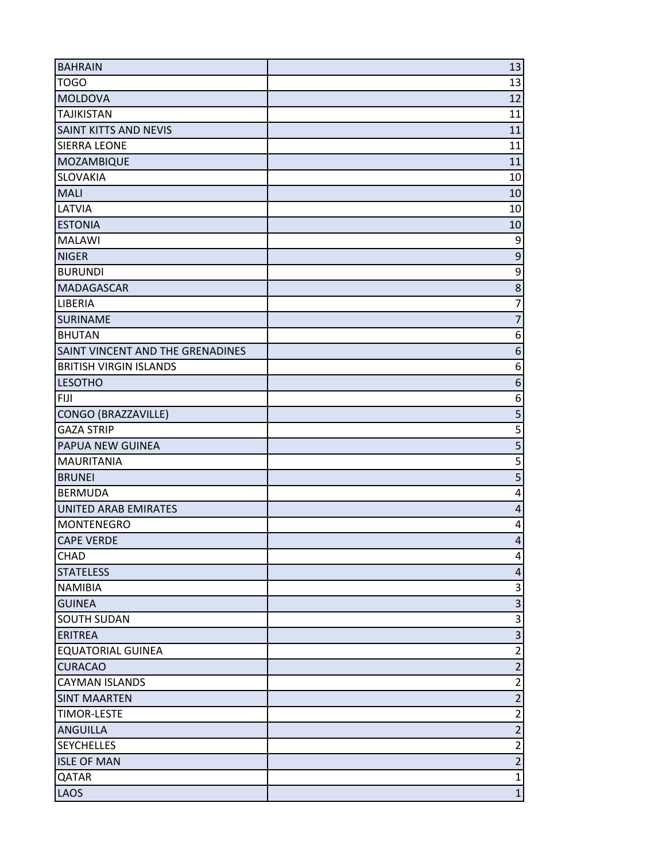| <b>BAHRAIN</b>                          | 13                               |
|-----------------------------------------|----------------------------------|
| <b>TOGO</b>                             | 13                               |
| <b>MOLDOVA</b>                          | 12                               |
| <b>TAJIKISTAN</b>                       | 11                               |
| SAINT KITTS AND NEVIS                   | 11                               |
| <b>SIERRA LEONE</b>                     | 11                               |
| MOZAMBIQUE                              | 11                               |
| <b>SLOVAKIA</b>                         | 10                               |
| <b>MALI</b>                             | 10                               |
| LATVIA                                  | 10                               |
| <b>ESTONIA</b>                          | 10                               |
| <b>MALAWI</b>                           | 9                                |
| <b>NIGER</b>                            | $\overline{9}$                   |
| <b>BURUNDI</b>                          | $\overline{9}$                   |
| <b>MADAGASCAR</b>                       | $\overline{8}$                   |
| LIBERIA                                 | $\overline{7}$                   |
| <b>SURINAME</b>                         | $\overline{7}$                   |
| <b>BHUTAN</b>                           | 6                                |
| SAINT VINCENT AND THE GRENADINES        | 6                                |
| <b>BRITISH VIRGIN ISLANDS</b>           | $\boldsymbol{6}$                 |
| <b>LESOTHO</b>                          | $\boldsymbol{6}$                 |
| <b>FIJI</b>                             | 6                                |
| CONGO (BRAZZAVILLE)                     | $\overline{5}$                   |
| <b>GAZA STRIP</b>                       | 5                                |
| PAPUA NEW GUINEA                        | $\overline{\mathbf{5}}$          |
| <b>MAURITANIA</b>                       | $\overline{5}$                   |
| <b>BRUNEI</b>                           | $\overline{5}$                   |
| <b>BERMUDA</b>                          | 4                                |
| <b>UNITED ARAB EMIRATES</b>             | $\overline{\mathbf{r}}$          |
| <b>MONTENEGRO</b>                       | $\overline{\mathbf{4}}$          |
| <b>CAPE VERDE</b>                       | $\overline{4}$                   |
| CHAD                                    | 4                                |
| <b>STATELESS</b>                        | 4                                |
| <b>NAMIBIA</b>                          | $\mathsf{3}$                     |
| <b>GUINEA</b>                           | $\overline{3}$                   |
| <b>SOUTH SUDAN</b>                      | $\overline{\mathbf{3}}$          |
| <b>ERITREA</b>                          | $\overline{\mathbf{3}}$          |
| <b>EQUATORIAL GUINEA</b>                | $\overline{2}$                   |
| <b>CURACAO</b>                          | $\overline{2}$                   |
| <b>CAYMAN ISLANDS</b>                   | $\overline{2}$                   |
| <b>SINT MAARTEN</b>                     | $\overline{2}$                   |
| <b>TIMOR-LESTE</b>                      | $\overline{2}$                   |
| ANGUILLA                                | $\overline{2}$                   |
| <b>SEYCHELLES</b><br><b>ISLE OF MAN</b> | $\overline{2}$<br>$\overline{2}$ |
|                                         | $\mathbf{1}$                     |
| QATAR                                   |                                  |
| LAOS                                    | $\mathbf{1}$                     |